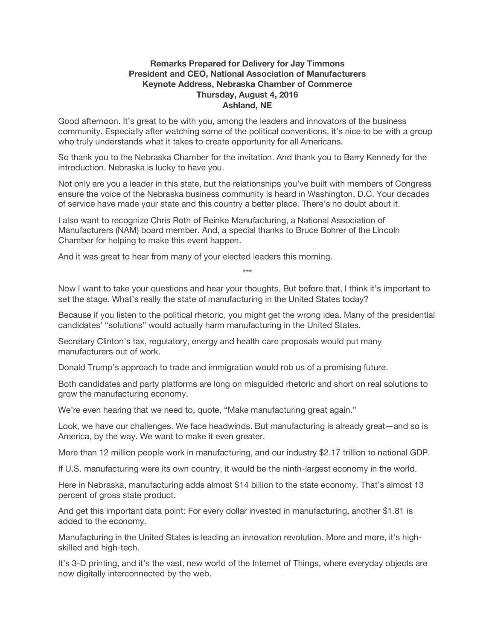## **Remarks Prepared for Delivery for Jay Timmons President and CEO, National Association of Manufacturers Keynote Address, Nebraska Chamber of Commerce Thursday, August 4, 2016 Ashland, NE**

Good afternoon. It's great to be with you, among the leaders and innovators of the business community. Especially after watching some of the political conventions, it's nice to be with a group who truly understands what it takes to create opportunity for all Americans.

So thank you to the Nebraska Chamber for the invitation. And thank you to Barry Kennedy for the introduction. Nebraska is lucky to have you.

Not only are you a leader in this state, but the relationships you've built with members of Congress ensure the voice of the Nebraska business community is heard in Washington, D.C. Your decades of service have made your state and this country a better place. There's no doubt about it.

I also want to recognize Chris Roth of Reinke Manufacturing, a National Association of Manufacturers (NAM) board member. And, a special thanks to Bruce Bohrer of the Lincoln Chamber for helping to make this event happen.

And it was great to hear from many of your elected leaders this morning.

Now I want to take your questions and hear your thoughts. But before that, I think it's important to set the stage. What's really the state of manufacturing in the United States today?

\*\*\*

Because if you listen to the political rhetoric, you might get the wrong idea. Many of the presidential candidates' "solutions" would actually harm manufacturing in the United States.

Secretary Clinton's tax, regulatory, energy and health care proposals would put many manufacturers out of work.

Donald Trump's approach to trade and immigration would rob us of a promising future.

Both candidates and party platforms are long on misguided rhetoric and short on real solutions to grow the manufacturing economy.

We're even hearing that we need to, quote, "Make manufacturing great again."

Look, we have our challenges. We face headwinds. But manufacturing is already great—and so is America, by the way. We want to make it even greater.

More than 12 million people work in manufacturing, and our industry \$2.17 trillion to national GDP.

If U.S. manufacturing were its own country, it would be the ninth-largest economy in the world.

Here in Nebraska, manufacturing adds almost \$14 billion to the state economy. That's almost 13 percent of gross state product.

And get this important data point: For every dollar invested in manufacturing, another \$1.81 is added to the economy.

Manufacturing in the United States is leading an innovation revolution. More and more, it's highskilled and high-tech.

It's 3-D printing, and it's the vast, new world of the Internet of Things, where everyday objects are now digitally interconnected by the web.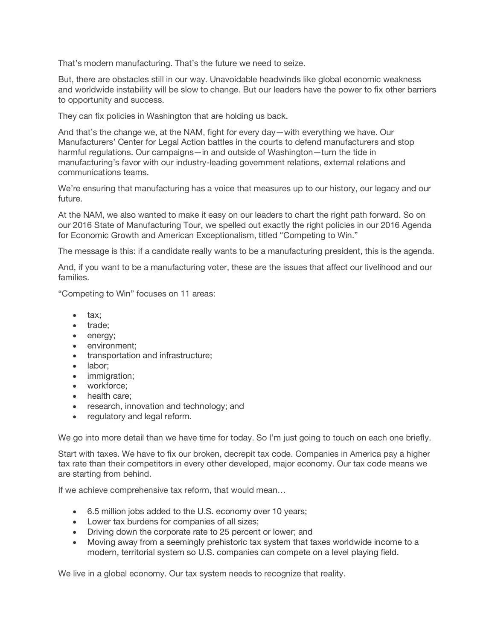That's modern manufacturing. That's the future we need to seize.

But, there are obstacles still in our way. Unavoidable headwinds like global economic weakness and worldwide instability will be slow to change. But our leaders have the power to fix other barriers to opportunity and success.

They can fix policies in Washington that are holding us back.

And that's the change we, at the NAM, fight for every day—with everything we have. Our Manufacturers' Center for Legal Action battles in the courts to defend manufacturers and stop harmful regulations. Our campaigns—in and outside of Washington—turn the tide in manufacturing's favor with our industry-leading government relations, external relations and communications teams.

We're ensuring that manufacturing has a voice that measures up to our history, our legacy and our future.

At the NAM, we also wanted to make it easy on our leaders to chart the right path forward. So on our 2016 State of Manufacturing Tour, we spelled out exactly the right policies in our 2016 Agenda for Economic Growth and American Exceptionalism, titled "Competing to Win."

The message is this: if a candidate really wants to be a manufacturing president, this is the agenda.

And, if you want to be a manufacturing voter, these are the issues that affect our livelihood and our families.

"Competing to Win" focuses on 11 areas:

- tax;
- trade;
- energy;
- environment;
- transportation and infrastructure;
- labor;
- immigration;
- workforce;
- health care;
- research, innovation and technology; and
- regulatory and legal reform.

We go into more detail than we have time for today. So I'm just going to touch on each one briefly.

Start with taxes. We have to fix our broken, decrepit tax code. Companies in America pay a higher tax rate than their competitors in every other developed, major economy. Our tax code means we are starting from behind.

If we achieve comprehensive tax reform, that would mean…

- 6.5 million jobs added to the U.S. economy over 10 years;
- Lower tax burdens for companies of all sizes;
- Driving down the corporate rate to 25 percent or lower; and
- Moving away from a seemingly prehistoric tax system that taxes worldwide income to a modern, territorial system so U.S. companies can compete on a level playing field.

We live in a global economy. Our tax system needs to recognize that reality.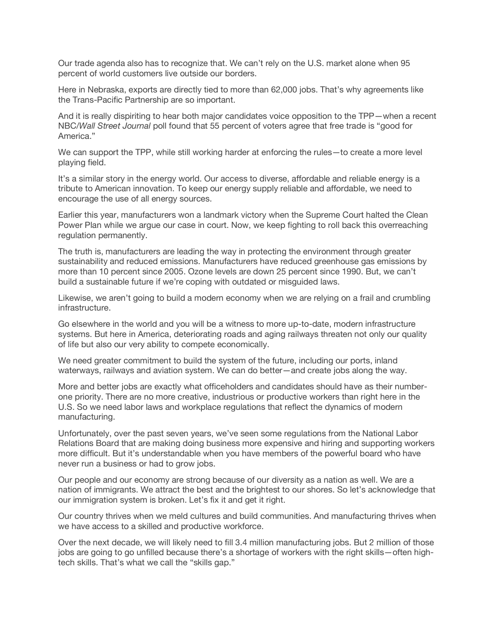Our trade agenda also has to recognize that. We can't rely on the U.S. market alone when 95 percent of world customers live outside our borders.

Here in Nebraska, exports are directly tied to more than 62,000 jobs. That's why agreements like the Trans-Pacific Partnership are so important.

And it is really dispiriting to hear both major candidates voice opposition to the TPP—when a recent NBC/*Wall Street Journal* poll found that 55 percent of voters agree that free trade is "good for America."

We can support the TPP, while still working harder at enforcing the rules—to create a more level playing field.

It's a similar story in the energy world. Our access to diverse, affordable and reliable energy is a tribute to American innovation. To keep our energy supply reliable and affordable, we need to encourage the use of all energy sources.

Earlier this year, manufacturers won a landmark victory when the Supreme Court halted the Clean Power Plan while we argue our case in court. Now, we keep fighting to roll back this overreaching regulation permanently.

The truth is, manufacturers are leading the way in protecting the environment through greater sustainability and reduced emissions. Manufacturers have reduced greenhouse gas emissions by more than 10 percent since 2005. Ozone levels are down 25 percent since 1990. But, we can't build a sustainable future if we're coping with outdated or misguided laws.

Likewise, we aren't going to build a modern economy when we are relying on a frail and crumbling infrastructure.

Go elsewhere in the world and you will be a witness to more up-to-date, modern infrastructure systems. But here in America, deteriorating roads and aging railways threaten not only our quality of life but also our very ability to compete economically.

We need greater commitment to build the system of the future, including our ports, inland waterways, railways and aviation system. We can do better—and create jobs along the way.

More and better jobs are exactly what officeholders and candidates should have as their numberone priority. There are no more creative, industrious or productive workers than right here in the U.S. So we need labor laws and workplace regulations that reflect the dynamics of modern manufacturing.

Unfortunately, over the past seven years, we've seen some regulations from the National Labor Relations Board that are making doing business more expensive and hiring and supporting workers more difficult. But it's understandable when you have members of the powerful board who have never run a business or had to grow jobs.

Our people and our economy are strong because of our diversity as a nation as well. We are a nation of immigrants. We attract the best and the brightest to our shores. So let's acknowledge that our immigration system is broken. Let's fix it and get it right.

Our country thrives when we meld cultures and build communities. And manufacturing thrives when we have access to a skilled and productive workforce.

Over the next decade, we will likely need to fill 3.4 million manufacturing jobs. But 2 million of those jobs are going to go unfilled because there's a shortage of workers with the right skills—often hightech skills. That's what we call the "skills gap."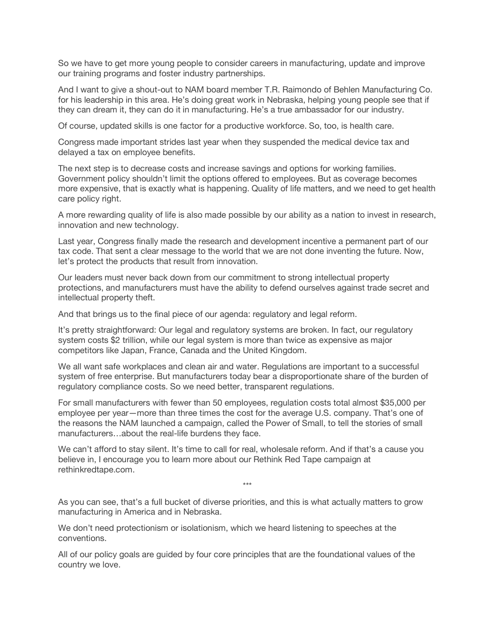So we have to get more young people to consider careers in manufacturing, update and improve our training programs and foster industry partnerships.

And I want to give a shout-out to NAM board member T.R. Raimondo of Behlen Manufacturing Co. for his leadership in this area. He's doing great work in Nebraska, helping young people see that if they can dream it, they can do it in manufacturing. He's a true ambassador for our industry.

Of course, updated skills is one factor for a productive workforce. So, too, is health care.

Congress made important strides last year when they suspended the medical device tax and delayed a tax on employee benefits.

The next step is to decrease costs and increase savings and options for working families. Government policy shouldn't limit the options offered to employees. But as coverage becomes more expensive, that is exactly what is happening. Quality of life matters, and we need to get health care policy right.

A more rewarding quality of life is also made possible by our ability as a nation to invest in research, innovation and new technology.

Last year, Congress finally made the research and development incentive a permanent part of our tax code. That sent a clear message to the world that we are not done inventing the future. Now, let's protect the products that result from innovation.

Our leaders must never back down from our commitment to strong intellectual property protections, and manufacturers must have the ability to defend ourselves against trade secret and intellectual property theft.

And that brings us to the final piece of our agenda: regulatory and legal reform.

It's pretty straightforward: Our legal and regulatory systems are broken. In fact, our regulatory system costs \$2 trillion, while our legal system is more than twice as expensive as major competitors like Japan, France, Canada and the United Kingdom.

We all want safe workplaces and clean air and water. Regulations are important to a successful system of free enterprise. But manufacturers today bear a disproportionate share of the burden of regulatory compliance costs. So we need better, transparent regulations.

For small manufacturers with fewer than 50 employees, regulation costs total almost \$35,000 per employee per year—more than three times the cost for the average U.S. company. That's one of the reasons the NAM launched a campaign, called the Power of Small, to tell the stories of small manufacturers…about the real-life burdens they face.

We can't afford to stay silent. It's time to call for real, wholesale reform. And if that's a cause you believe in, I encourage you to learn more about our Rethink Red Tape campaign at rethinkredtape.com.

\*\*\*

As you can see, that's a full bucket of diverse priorities, and this is what actually matters to grow manufacturing in America and in Nebraska.

We don't need protectionism or isolationism, which we heard listening to speeches at the conventions.

All of our policy goals are guided by four core principles that are the foundational values of the country we love.